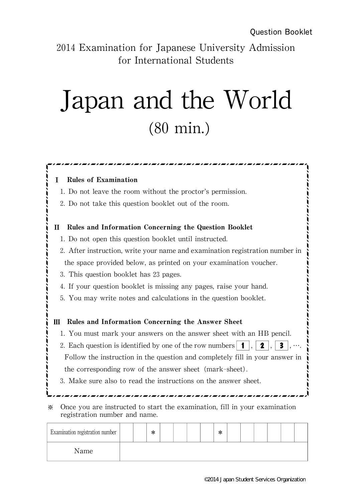2014 Examination for Japanese University Admission for International Students

## Japan and the World (80 min.)

## Rules of Examination 1.Do not leave the room without the proctor's permission. 2.Do not take this question booklet out of the room. Rules and Information Concerning the Question Booklet 1.Do not open this question booklet until instructed. 2. After instruction, write your name and examination registration number in the space provided below, as printed on your examination voucher. 3. This question booklet has 23 pages. 4. If your question booklet is missing any pages, raise your hand. 5.You may write notes and calculations in the question booklet. III Rules and Information Concerning the Answer Sheet 1.You must mark your answers on the answer sheet with an HB pencil. 2. Each question is identified by one of the row numbers  $\mathbf{1}$ ,  $\mathbf{2}$ ,  $\mathbf{3}$ , Follow the instruction in the question and completely fill in your answer in the corresponding row of the answer sheet (mark-sheet). 3.Make sure also to read the instructions on the answer sheet. 쟯 쟯 쟯 쟯 쟯 쟯 쟯 쟯  $\ddot{\cdot}$  $\frac{1}{2}$ 쟯 쟯 쟯 쟯 쟯 쟯 쟯  $\frac{1}{1}$ 쟯 쟯 쟯 쟯 쟯  $\frac{1}{2}$  $\frac{1}{2}$ 쟯 www.communisters.communisters.com/www.com/www.com/<br>\<br>\ <u>Accessos</u><br>are instructed to start the examination, fill in your examination registration number and name.

| Examination registration number |  | ∗ |  |  | sle<br>ᡯ |  |  |  |
|---------------------------------|--|---|--|--|----------|--|--|--|
| Name                            |  |   |  |  |          |  |  |  |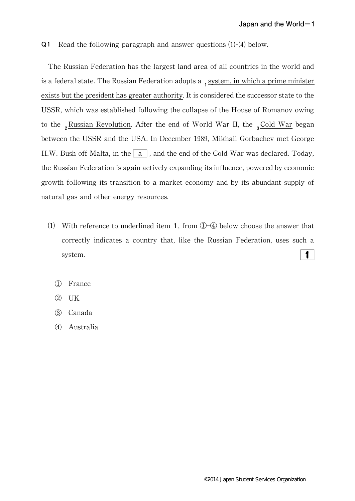Q1 Read the following paragraph and answer questions  $(1)-(4)$  below.

The Russian Federation has the largest land area of all countries in the world and is a federal state. The Russian Federation adopts a <sub>1</sub> system, in which a prime minister exists but the president has greater authority. It is considered the successor state to the USSR, which was established following the collapse of the House of Romanov owing to the  $\frac{Russian Revolution.$  After the end of World War II, the  $\frac{3Gold War}{4S}$  began between the USSR and the USA. In December 1989, Mikhail Gorbachev met George H.W. Bush off Malta, in the  $\boxed{a}$ , and the end of the Cold War was declared. Today, the Russian Federation is again actively expanding its influence, powered by economic growth following its transition to a market economy and by its abundant supply of natural gas and other energy resources.

- (1) With reference to underlined item 1, from  $\mathbb{O}$ - $\mathbb{Q}$  below choose the answer that correctly indicates a country that, like the Russian Federation, uses such a 1 system.
	- ① France
	- ② UK
	- ③ Canada
	- ④ Australia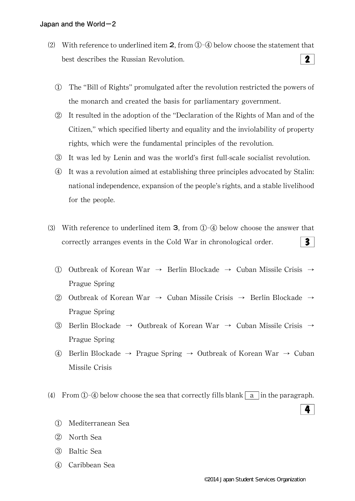- (2) With reference to underlined item  $2$ , from  $(1)$ - $(4)$  below choose the statement that  $\mathbf{2}$ best describes the Russian Revolution.
	- ① The"Bill of Rights"promulgated after the revolution restricted the powers of the monarch and created the basis for parliamentary government.
	- ② It resulted in the adoption of the"Declaration of the Rights of Man and of the Citizen,"which specified liberty and equality and the inviolability of property rights, which were the fundamental principles of the revolution.
	- ③ It was led by Lenin and was the world's first full-scale socialist revolution.
	- ④ It was a revolution aimed at establishing three principles advocated by Stalin: national independence, expansion of the people's rights, and a stable livelihood for the people.
- (3) With reference to underlined item **3**, from  $\overline{O}$ - $\overline{O}$  below choose the answer that  $\overline{\mathbf{3}}$ correctly arranges events in the Cold War in chronological order.
	- ① Outbreak of Korean War → Berlin Blockade → Cuban Missile Crisis → Prague Spring
	- ② Outbreak of Korean War  $\rightarrow$  Cuban Missile Crisis  $\rightarrow$  Berlin Blockade  $\rightarrow$ Prague Spring
	- ③ Berlin Blockade → Outbreak of Korean War → Cuban Missile Crisis → Prague Spring
	- ④ Berlin Blockade→ Prague Spring → Outbreak of Korean War→ Cuban Missile Crisis
- (4) From  $\Phi$ - $\Phi$  below choose the sea that correctly fills blank  $|a|$  in the paragraph.
	- ① Mediterranean Sea
	- ② North Sea
	- ③ Baltic Sea
	- ④ Caribbean Sea

4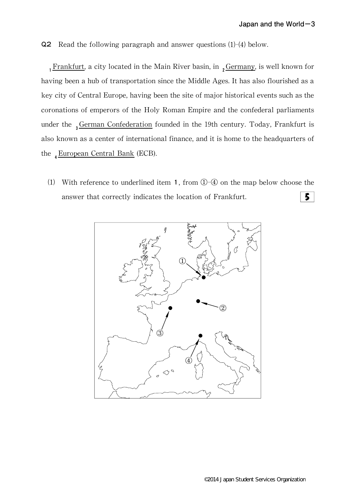Q2 Read the following paragraph and answer questions (1)-(4) below.

 $1$ <sub>1</sub>Frankfurt, a city located in the Main River basin, in  $_2$ Germany, is well known for having been a hub of transportation since the Middle Ages.It has also flourished as a key city of Central Europe, having been the site of major historical events such as the coronations of emperors of the Holy Roman Empire and the confederal parliaments under the  $_3$ German Confederation founded in the 19th century. Today, Frankfurt is also known as a center of international finance, and it is home to the headquarters of the  $_4$ European Central Bank (ECB).

(1) With reference to underlined item 1, from  $\mathbb{D}$ - $\mathbb{Q}$  on the map below choose the  $5<sup>1</sup>$ answer that correctly indicates the location of Frankfurt.

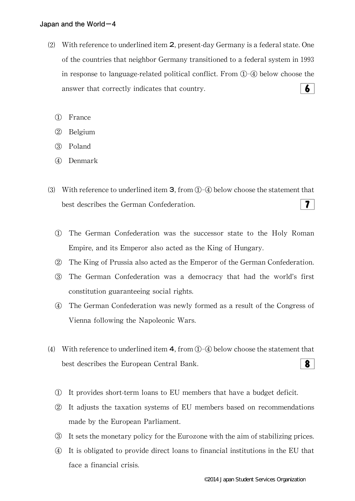- $(2)$  With reference to underlined item 2, present-day Germany is a federal state. One of the countries that neighbor Germany transitioned to a federal system in 1993 in response to language-related political conflict. From  $(1)$ – $(4)$  below choose the  $6<sup>1</sup>$ answer that correctly indicates that country.
	- ① France
	- ② Belgium
	- ③ Poland
	- ④ Denmark
- ⑶ With reference to underlined item 3,from①-④ below choose the statement that best describes the German Confederation.  $7<sup>1</sup>$ 
	- ① The German Confederation was the successor state to the Holy Roman Empire, and its Emperor also acted as the King of Hungary.
	- ② The King of Prussia also acted as the Emperor of the German Confederation.
	- ③ The German Confederation was a democracy that had the world's first constitution guaranteeing social rights.
	- ④ The German Confederation was newly formed as a result of the Congress of Vienna following the Napoleonic Wars.
- (4) With reference to underlined item 4, from  $\mathbb{O}$ - $\mathbb{Q}$  below choose the statement that 8 best describes the European Central Bank.
	- ① It provides short-term loans to EU members that have a budget deficit.
	- ② It adjusts the taxation systems of EU members based on recommendations made by the European Parliament.
	- ③ It sets the monetary policy for the Eurozone with the aim of stabilizing prices.
	- ④ It is obligated to provide direct loans to financial institutions in the EU that face a financial crisis.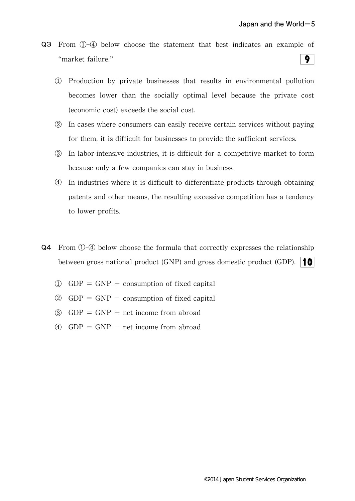- Q3 From ①-④ below choose the statement that best indicates an example of  $9<sup>1</sup>$ "market failure."
	- ① Production by private businesses that results in environmental pollution becomes lower than the socially optimal level because the private cost (economic cost) exceeds the social cost.
	- ② In cases where consumers can easily receive certain services without paying for them, it is difficult for businesses to provide the sufficient services.
	- ③ In labor-intensive industries,it is difficult for a competitive market to form because only a few companies can stay in business.
	- ④ In industries where it is difficult to differentiate products through obtaining patents and other means, the resulting excessive competition has a tendency to lower profits.
- Q4 From ①-④ below choose the formula that correctly expresses the relationship between gross national product (GNP) and gross domestic product (GDP).  $\|\cdot\|$ 
	- $\textcircled{1}$  GDP = GNP + consumption of fixed capital
	- $\textcircled{2}$  GDP = GNP consumption of fixed capital
	- $\textcircled{3}$  GDP = GNP + net income from abroad
	- $\textcircled{4}$  GDP = GNP net income from abroad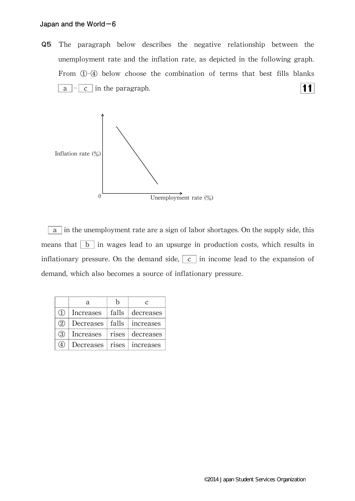Q5 The paragraph below describes the negative relationship between the unemployment rate and the inflation rate, as depicted in the following graph. From ①-④ below choose the combination of terms that best fills blanks  $11$ | a  $\vert \cdot \vert$  c | in the paragraph.



a in the unemployment rate are a sign of labor shortages. On the supply side, this means that  $\boxed{b}$  in wages lead to an upsurge in production costs, which results in inflationary pressure. On the demand side,  $\boxed{c}$  in income lead to the expansion of demand, which also becomes a source of inflationary pressure.

|                            | а         | h     | C         |
|----------------------------|-----------|-------|-----------|
| $\left( \mathrm{T}\right)$ | Increases | falls | decreases |
| (2)                        | Decreases | falls | increases |
| 3                          | Increases | rises | decreases |
| $\left( 4\right)$          | Decreases | rises | increases |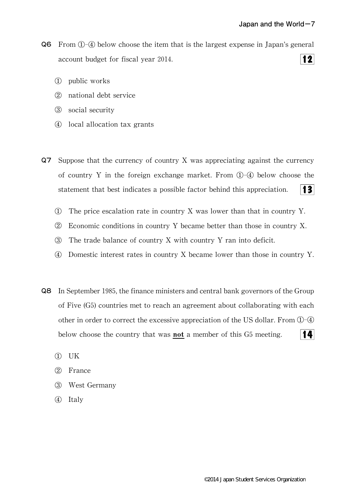- Q6 From ①-④ below choose the item that is the largest expense in Japan's general  $|12|$ account budget for fiscal year 2014.
	- ① public works
	- ② national debt service
	- ③ social security
	- ④ local allocation tax grants
- Q7 Suppose that the currency of country X was appreciating against the currency of country Y in the foreign exchange market.From ①-④ below choose the statement that best indicates a possible factor behind this appreciation.  $|3|$ 
	- ① The price escalation rate in country X was lower than that in country Y.
	- ② Economic conditions in country Y became better than those in country X.
	- ③ The trade balance of country X with country Y ran into deficit.
	- ④ Domestic interest rates in country X became lower than those in country Y.
- **Q8** In September 1985, the finance ministers and central bank governors of the Group of Five (G5) countries met to reach an agreement about collaborating with each other in order to correct the excessive appreciation of the US dollar. From  $(1)$ - $(4)$ below choose the country that was **not** a member of this G5 meeting. 14
	- ① UK
	- ② France
	- ③ West Germany
	- ④ Italy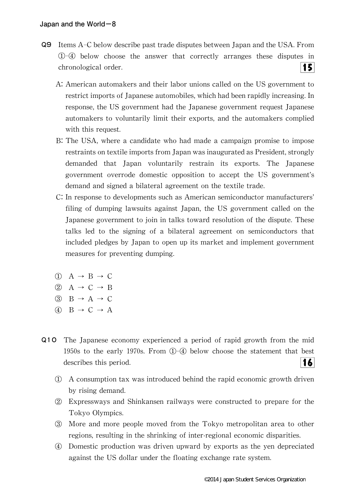- Q9 Items A-C below describe past trade disputes between Japan and the USA.From ①-④ below choose the answer that correctly arranges these disputes in chronological order. 15
	- A:American automakers and their labor unions called on the US government to restrict imports of Japanese automobiles,which had been rapidly increasing.In response, the US government had the Japanese government request Japanese automakers to voluntarily limit their exports, and the automakers complied with this request.
	- B:The USA,where a candidate who had made a campaign promise to impose restraints on textile imports from Japan was inaugurated as President, strongly demanded that Japan voluntarily restrain its exports. The Japanese government overrode domestic opposition to accept the US government's demand and signed a bilateral agreement on the textile trade.
	- C:In response to developments such as American semiconductor manufacturers' filing of dumping lawsuits against Japan, the US government called on the Japanese government to join in talks toward resolution of the dispute.These talks led to the signing of a bilateral agreement on semiconductors that included pledges by Japan to open up its market and implement government measures for preventing dumping.
	- $(1)$  A  $\rightarrow$  B  $\rightarrow$  C
	- $(2)$  A  $\rightarrow$  C  $\rightarrow$  B
	- $\textcircled{3}$  B  $\rightarrow$  A  $\rightarrow$  C
	- $\textcircled{4}$  B  $\rightarrow$  C  $\rightarrow$  A
- Q10 The Japanese economy experienced a period of rapid growth from the mid 1950s to the early 1970s. From  $\mathbb{O}$ - $\mathbb{Q}$  below choose the statement that best describes this period. 16
	- ① A consumption tax was introduced behind the rapid economic growth driven by rising demand.
	- ② Expressways and Shinkansen railways were constructed to prepare for the Tokyo Olympics.
	- ③ More and more people moved from the Tokyo metropolitan area to other regions, resulting in the shrinking of inter-regional economic disparities.
	- ④ Domestic production was driven upward by exports as the yen depreciated against the US dollar under the floating exchange rate system.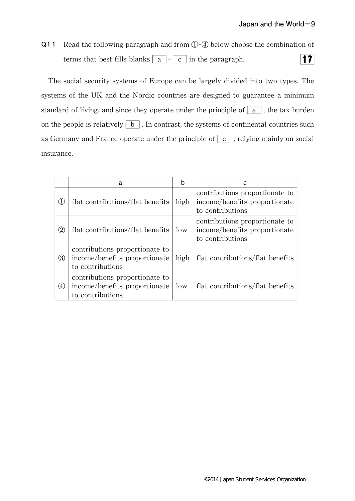Q11 Read the following paragraph and from ①-④ below choose the combination of  $|17|$ terms that best fills blanks  $\boxed{a}$  -  $\boxed{c}$  in the paragraph.

The social security systems of Europe can be largely divided into two types.The systems of the UK and the Nordic countries are designed to guarantee a minimum standard of living, and since they operate under the principle of  $\boxed{a}$ , the tax burden on the people is relatively  $\boxed{b}$ . In contrast, the systems of continental countries such as Germany and France operate under the principle of  $\boxed{c}$ , relying mainly on social insurance.

|                   | a                                                                                   |      |                                                                                     |
|-------------------|-------------------------------------------------------------------------------------|------|-------------------------------------------------------------------------------------|
| $\left( 1\right)$ | flat contributions/flat benefits                                                    | high | contributions proportionate to<br>income/benefits proportionate<br>to contributions |
| $\rm(2)$          | flat contributions/flat benefits                                                    | low  | contributions proportionate to<br>income/benefits proportionate<br>to contributions |
| ③                 | contributions proportionate to<br>income/benefits proportionate<br>to contributions | high | flat contributions/flat benefits                                                    |
| $\left( 4\right)$ | contributions proportionate to<br>income/benefits proportionate<br>to contributions | low  | flat contributions/flat benefits                                                    |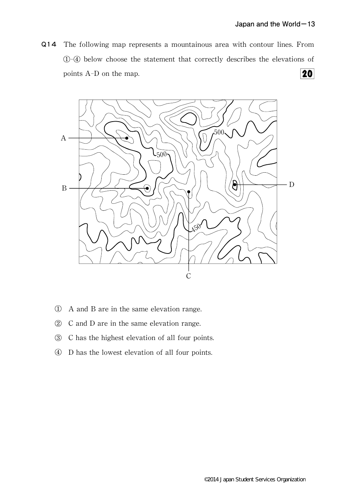Q14 The following map represents a mountainous area with contour lines.From ①-④ below choose the statement that correctly describes the elevations of  $\overline{20}$ points A-D on the map.



- ① A and B are in the same elevation range.
- ② C and D are in the same elevation range.
- ③ C has the highest elevation of all four points.
- ④ D has the lowest elevation of all four points.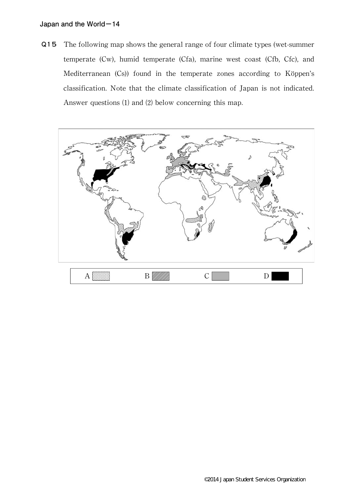Q15 The following map shows the general range of four climate types(wet-summer temperate (Cw), humid temperate (Cfa), marine west coast (Cfb, Cfc), and Mediterranean (Cs)) found in the temperate zones according to Köppen's classification.Note that the climate classification of Japan is not indicated. Answer questions (1) and (2) below concerning this map.

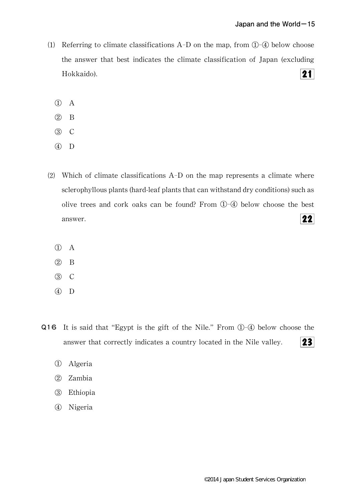- (1) Referring to climate classifications A-D on the map, from  $\mathbb{O}$ - $\mathbb Q$  below choose the answer that best indicates the climate classification of Japan(excluding  $21$ Hokkaido).
	- ① A
	- ② B
	- ③ C
	- ④ D
- ⑵ Which of climate classifications A-D on the map represents a climate where sclerophyllous plants (hard-leaf plants that can withstand dry conditions) such as olive trees and cork oaks can be found? From  $\mathbb{O}$ - $\mathbb{Q}$  below choose the best  $22$ answer.
	- ① A
	- ② B
	- ③ C
	- ④ D
- Q16 It is said that "Egypt is the gift of the Nile." From ①-④ below choose the  $23$ answer that correctly indicates a country located in the Nile valley.
	- ① Algeria
	- ② Zambia
	- ③ Ethiopia
	- ④ Nigeria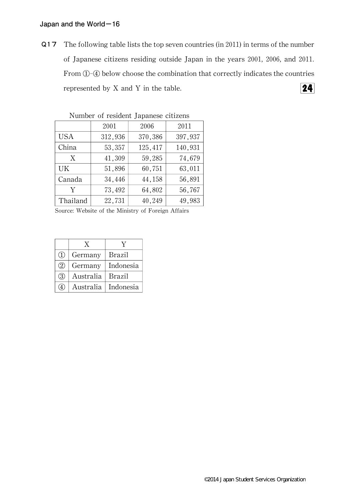Q17 The following table lists the top seven countries (in 2011) in terms of the number of Japanese citizens residing outside Japan in the years 2001, 2006, and 2011. From①-④ below choose the combination that correctly indicates the countries represented by X and Y in the table.  $24$ 

|            | 2001    | 2006    | 2011    |  |
|------------|---------|---------|---------|--|
| <b>USA</b> | 312,936 | 370,386 | 397,937 |  |
| China      | 53,357  | 125,417 | 140,931 |  |
| X          | 41,309  | 59,285  | 74,679  |  |
| UK         | 51,896  | 60,751  | 63,011  |  |
| Canada     | 34,446  | 44,158  | 56,891  |  |
| Y          | 73,492  | 64,802  | 56,767  |  |
| Thailand   | 22,731  | 40,249  | 49,983  |  |

Number of resident Japanese citizens

Source: Website of the Ministry of Foreign Affairs

|               | X         |               |
|---------------|-----------|---------------|
| $\Omega$      | Germany   | <b>Brazil</b> |
| (2)           | Germany   | Indonesia     |
| $\circled{3}$ | Australia | <b>Brazil</b> |
| (4)           | Australia | Indonesia     |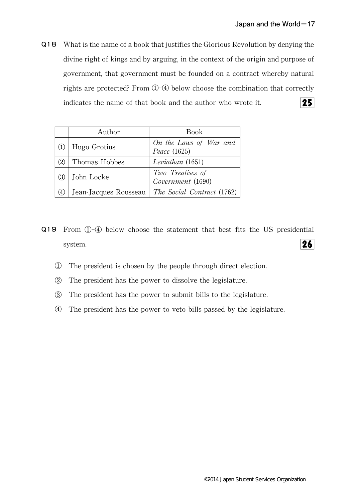Q18 What is the name of a book that justifies the Glorious Revolution by denying the divine right of kings and by arguing, in the context of the origin and purpose of government, that government must be founded on a contract whereby natural rights are protected? From ①-④ below choose the combination that correctly indicates the name of that book and the author who wrote it.  $25<sub>1</sub>$ 

|     | Author                | Book                                   |
|-----|-----------------------|----------------------------------------|
|     | Hugo Grotius          | On the Laws of War and<br>Peace (1625) |
| (2) | Thomas Hobbes         | Leviathan (1651)                       |
| (3) | John Locke            | Two Treatises of<br>Government (1690)  |
| (4) | Jean-Jacques Rousseau | The Social Contract (1762)             |

- Q19 From ①-④ below choose the statement that best fits the US presidential  $26$ system.
	- ① The president is chosen by the people through direct election.
	- ② The president has the power to dissolve the legislature.
	- ③ The president has the power to submit bills to the legislature.
	- ④ The president has the power to veto bills passed by the legislature.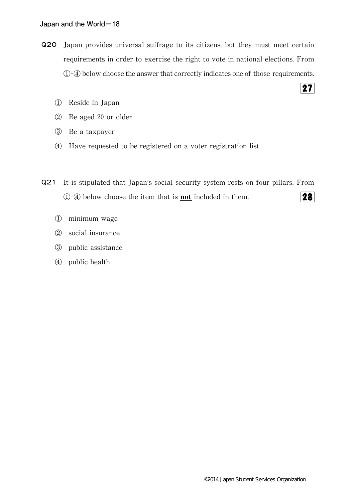- Q20 Japan provides universal suffrage to its citizens, but they must meet certain requirements in order to exercise the right to vote in national elections. From ①-④ below choose the answer that correctly indicates one of those requirements.
	- ① Reside in Japan
	- ② Be aged 20 or older
	- ③ Be a taxpayer
	- ④ Have requested to be registered on a voter registration list
- Q21 It is stipulated that Japan's social security system rests on four pillars.From 28  $\Phi$  below choose the item that is **not** included in them.
	- ① minimum wage
	- ② social insurance
	- ③ public assistance
	- ④ public health

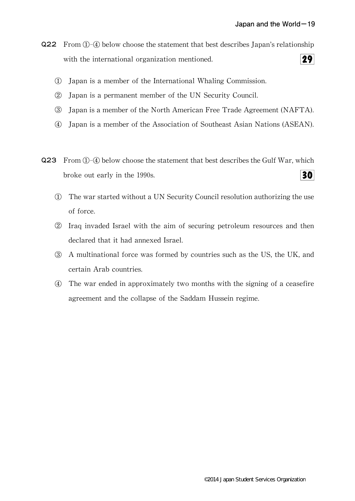- Q22 From ①-④ below choose the statement that best describes Japan's relationship  $29<sub>1</sub>$ with the international organization mentioned.
	- ① Japan is a member of the International Whaling Commission.
	- ② Japan is a permanent member of the UN Security Council.
	- ③ Japan is a member of the North American Free Trade Agreement(NAFTA).
	- ④ Japan is a member of the Association of Southeast Asian Nations(ASEAN).
- $Q23$  From  $(1)$ - $(4)$  below choose the statement that best describes the Gulf War, which  $30<sup>°</sup>$ broke out early in the 1990s.
	- ① The war started without a UN Security Council resolution authorizing the use of force.
	- ② Iraq invaded Israel with the aim of securing petroleum resources and then declared that it had annexed Israel.
	- 3 A multinational force was formed by countries such as the US, the UK, and certain Arab countries.
	- ④ The war ended in approximately two months with the signing of a ceasefire agreement and the collapse of the Saddam Hussein regime.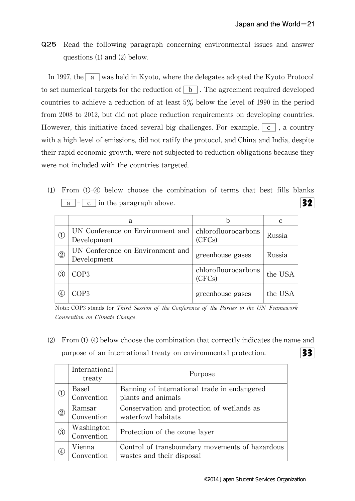Q25 Read the following paragraph concerning environmental issues and answer questions  $(1)$  and  $(2)$  below.

In 1997, the  $\alpha$  was held in Kyoto, where the delegates adopted the Kyoto Protocol to set numerical targets for the reduction of  $\boxed{b}$ . The agreement required developed countries to achieve a reduction of at least 5% below the level of 1990 in the period from 2008 to 2012, but did not place reduction requirements on developing countries. However, this initiative faced several big challenges. For example,  $\vert c \vert$ , a country with a high level of emissions, did not ratify the protocol, and China and India, despite their rapid economic growth, were not subjected to reduction obligations because they were not included with the countries targeted.

⑴ From ①-④ below choose the combination of terms that best fills blanks  $\boxed{a}$  -  $\boxed{c}$  in the paragraph above.  $32<sub>1</sub>$ 

|               | a                                               |                               |         |
|---------------|-------------------------------------------------|-------------------------------|---------|
| (1)           | UN Conference on Environment and<br>Development | chlorofluorocarbons<br>(CFCs) | Russia  |
| $\circled{2}$ | UN Conference on Environment and<br>Development | greenhouse gases              | Russia  |
| (3)           | COP3                                            | chlorofluorocarbons<br>(CFCs) | the USA |
| (4            | COP3                                            | greenhouse gases              | the USA |

Note: COP3 stands for Third Session of the Conference of the Parties to the UN Framework Convention on Climate Change.

⑵ From①-④ below choose the combination that correctly indicates the name and purpose of an international treaty on environmental protection.  $33$ 

|                                   | International<br>treaty  | Purpose                                                                      |
|-----------------------------------|--------------------------|------------------------------------------------------------------------------|
| $^{\textcircled{\scriptsize{1}}}$ | Basel<br>Convention      | Banning of international trade in endangered<br>plants and animals           |
| $^{\circledR}$                    | Ramsar<br>Convention     | Conservation and protection of wetlands as<br>waterfowl habitats             |
| $\circled{3}$                     | Washington<br>Convention | Protection of the ozone layer                                                |
| (4)                               | Vienna<br>Convention     | Control of transboundary movements of hazardous<br>wastes and their disposal |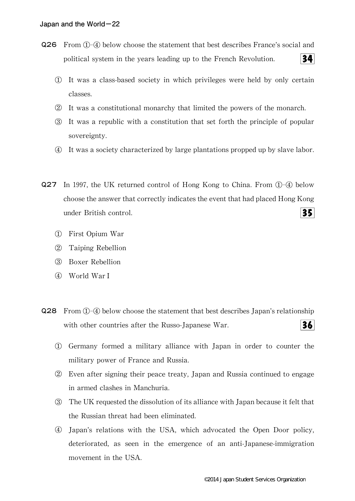- Q26 From ①-④ below choose the statement that best describes France's social and political system in the years leading up to the French Revolution.  $34<sup>l</sup>$ 
	- ① It was a class-based society in which privileges were held by only certain classes.
	- ② It was a constitutional monarchy that limited the powers of the monarch.
	- ③ It was a republic with a constitution that set forth the principle of popular sovereignty.
	- ④ It was a society characterized by large plantations propped up by slave labor.
- $Q27$  In 1997, the UK returned control of Hong Kong to China. From  $\Phi$ -4 below choose the answer that correctly indicates the event that had placed Hong Kong under British control.  $35<sub>1</sub>$ 
	- ① First Opium War
	- ② Taiping Rebellion
	- ③ Boxer Rebellion
	- ④ World War I
- Q28 From ①-④ below choose the statement that best describes Japan's relationship with other countries after the Russo-Japanese War.  $36<sup>l</sup>$ 
	- ① Germany formed a military alliance with Japan in order to counter the military power of France and Russia.
	- ② Even after signing their peace treaty,Japan and Russia continued to engage in armed clashes in Manchuria.
	- ③ The UK requested the dissolution of its alliance with Japan because it felt that the Russian threat had been eliminated.
	- ④ Japan's relations with the USA,which advocated the Open Door policy, deteriorated,as seen in the emergence of an anti-Japanese-immigration movement in the USA.